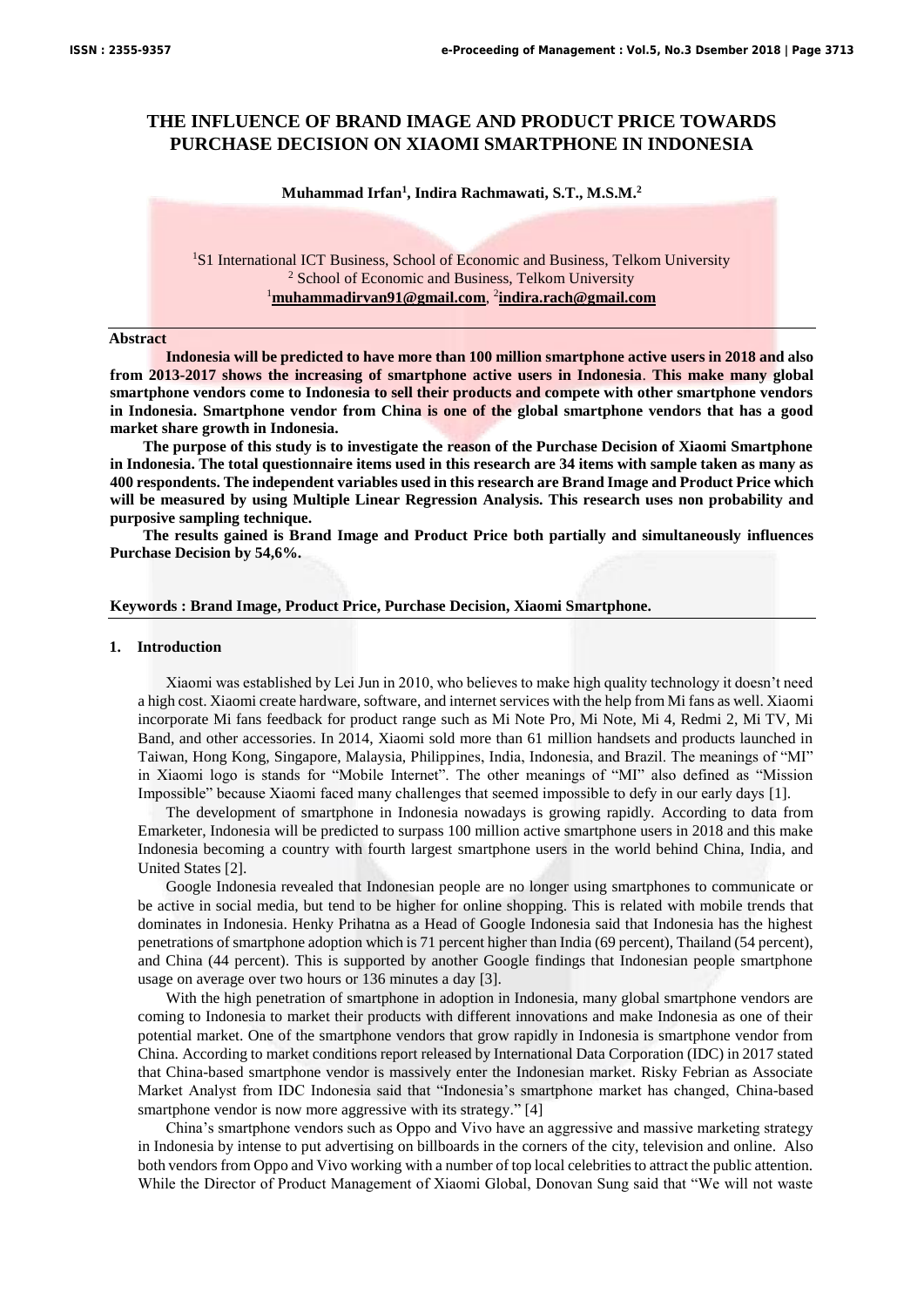# **THE INFLUENCE OF BRAND IMAGE AND PRODUCT PRICE TOWARDS PURCHASE DECISION ON XIAOMI SMARTPHONE IN INDONESIA**

#### **Muhammad Irfan<sup>1</sup> , Indira Rachmawati, S.T., M.S.M.<sup>2</sup>**

<sup>1</sup>S1 International ICT Business, School of Economic and Business, Telkom University <sup>2</sup> School of Economic and Business, Telkom University <sup>1</sup>**muhammadirvan91@gmail.com**, 2 **indira.rach@gmail.com**

#### **Abstract**

**Indonesia will be predicted to have more than 100 million smartphone active users in 2018 and also from 2013-2017 shows the increasing of smartphone active users in Indonesia**. **This make many global smartphone vendors come to Indonesia to sell their products and compete with other smartphone vendors in Indonesia. Smartphone vendor from China is one of the global smartphone vendors that has a good market share growth in Indonesia.** 

**The purpose of this study is to investigate the reason of the Purchase Decision of Xiaomi Smartphone in Indonesia. The total questionnaire items used in this research are 34 items with sample taken as many as 400 respondents. The independent variables used in this research are Brand Image and Product Price which will be measured by using Multiple Linear Regression Analysis. This research uses non probability and purposive sampling technique.** 

**The results gained is Brand Image and Product Price both partially and simultaneously influences Purchase Decision by 54,6%.** 

#### **Keywords : Brand Image, Product Price, Purchase Decision, Xiaomi Smartphone.**

#### **1. Introduction**

Xiaomi was established by Lei Jun in 2010, who believes to make high quality technology it doesn't need a high cost. Xiaomi create hardware, software, and internet services with the help from Mi fans as well. Xiaomi incorporate Mi fans feedback for product range such as Mi Note Pro, Mi Note, Mi 4, Redmi 2, Mi TV, Mi Band, and other accessories. In 2014, Xiaomi sold more than 61 million handsets and products launched in Taiwan, Hong Kong, Singapore, Malaysia, Philippines, India, Indonesia, and Brazil. The meanings of "MI" in Xiaomi logo is stands for "Mobile Internet". The other meanings of "MI" also defined as "Mission Impossible" because Xiaomi faced many challenges that seemed impossible to defy in our early days [1].

The development of smartphone in Indonesia nowadays is growing rapidly. According to data from Emarketer, Indonesia will be predicted to surpass 100 million active smartphone users in 2018 and this make Indonesia becoming a country with fourth largest smartphone users in the world behind China, India, and United States [2].

Google Indonesia revealed that Indonesian people are no longer using smartphones to communicate or be active in social media, but tend to be higher for online shopping. This is related with mobile trends that dominates in Indonesia. Henky Prihatna as a Head of Google Indonesia said that Indonesia has the highest penetrations of smartphone adoption which is 71 percent higher than India (69 percent), Thailand (54 percent), and China (44 percent). This is supported by another Google findings that Indonesian people smartphone usage on average over two hours or 136 minutes a day [3].

With the high penetration of smartphone in adoption in Indonesia, many global smartphone vendors are coming to Indonesia to market their products with different innovations and make Indonesia as one of their potential market. One of the smartphone vendors that grow rapidly in Indonesia is smartphone vendor from China. According to market conditions report released by International Data Corporation (IDC) in 2017 stated that China-based smartphone vendor is massively enter the Indonesian market. Risky Febrian as Associate Market Analyst from IDC Indonesia said that "Indonesia's smartphone market has changed, China-based smartphone vendor is now more aggressive with its strategy." [4]

China's smartphone vendors such as Oppo and Vivo have an aggressive and massive marketing strategy in Indonesia by intense to put advertising on billboards in the corners of the city, television and online. Also both vendors from Oppo and Vivo working with a number of top local celebrities to attract the public attention. While the Director of Product Management of Xiaomi Global, Donovan Sung said that "We will not waste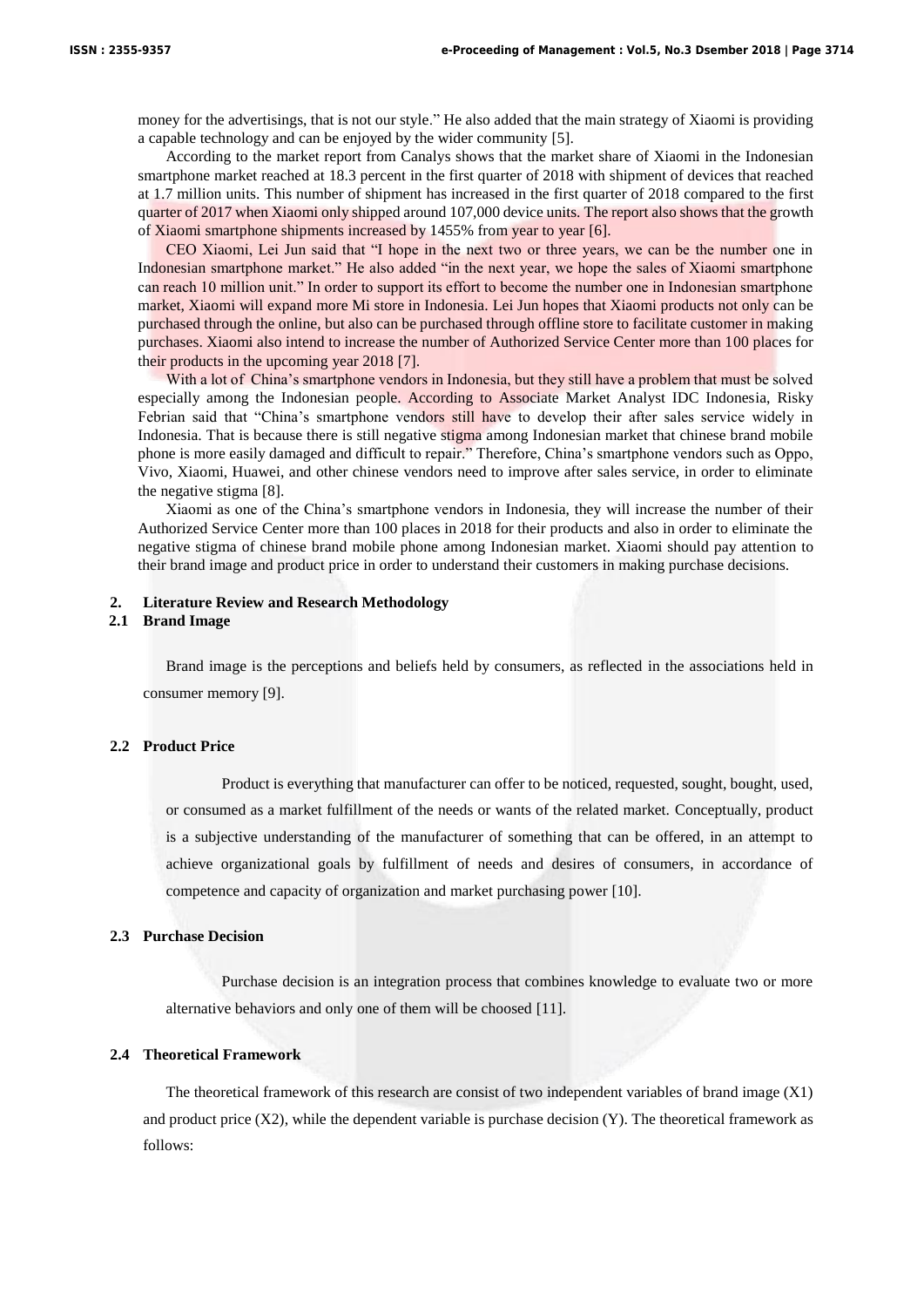money for the advertisings, that is not our style." He also added that the main strategy of Xiaomi is providing a capable technology and can be enjoyed by the wider community [5].

According to the market report from Canalys shows that the market share of Xiaomi in the Indonesian smartphone market reached at 18.3 percent in the first quarter of 2018 with shipment of devices that reached at 1.7 million units. This number of shipment has increased in the first quarter of 2018 compared to the first quarter of 2017 when Xiaomi only shipped around 107,000 device units. The report also shows that the growth of Xiaomi smartphone shipments increased by 1455% from year to year [6].

CEO Xiaomi, Lei Jun said that "I hope in the next two or three years, we can be the number one in Indonesian smartphone market." He also added "in the next year, we hope the sales of Xiaomi smartphone can reach 10 million unit." In order to support its effort to become the number one in Indonesian smartphone market, Xiaomi will expand more Mi store in Indonesia. Lei Jun hopes that Xiaomi products not only can be purchased through the online, but also can be purchased through offline store to facilitate customer in making purchases. Xiaomi also intend to increase the number of Authorized Service Center more than 100 places for their products in the upcoming year 2018 [7].

With a lot of China's smartphone vendors in Indonesia, but they still have a problem that must be solved especially among the Indonesian people. According to Associate Market Analyst IDC Indonesia, Risky Febrian said that "China's smartphone vendors still have to develop their after sales service widely in Indonesia. That is because there is still negative stigma among Indonesian market that chinese brand mobile phone is more easily damaged and difficult to repair." Therefore, China's smartphone vendors such as Oppo, Vivo, Xiaomi, Huawei, and other chinese vendors need to improve after sales service, in order to eliminate the negative stigma [8].

Xiaomi as one of the China's smartphone vendors in Indonesia, they will increase the number of their Authorized Service Center more than 100 places in 2018 for their products and also in order to eliminate the negative stigma of chinese brand mobile phone among Indonesian market. Xiaomi should pay attention to their brand image and product price in order to understand their customers in making purchase decisions.

#### **2. Literature Review and Research Methodology**

#### **2.1 Brand Image**

Brand image is the perceptions and beliefs held by consumers, as reflected in the associations held in consumer memory [9].

# **2.2 Product Price**

Product is everything that manufacturer can offer to be noticed, requested, sought, bought, used, or consumed as a market fulfillment of the needs or wants of the related market. Conceptually, product is a subjective understanding of the manufacturer of something that can be offered, in an attempt to achieve organizational goals by fulfillment of needs and desires of consumers, in accordance of competence and capacity of organization and market purchasing power [10].

#### **2.3 Purchase Decision**

Purchase decision is an integration process that combines knowledge to evaluate two or more alternative behaviors and only one of them will be choosed [11].

#### **2.4 Theoretical Framework**

The theoretical framework of this research are consist of two independent variables of brand image (X1) and product price  $(X2)$ , while the dependent variable is purchase decision  $(Y)$ . The theoretical framework as follows: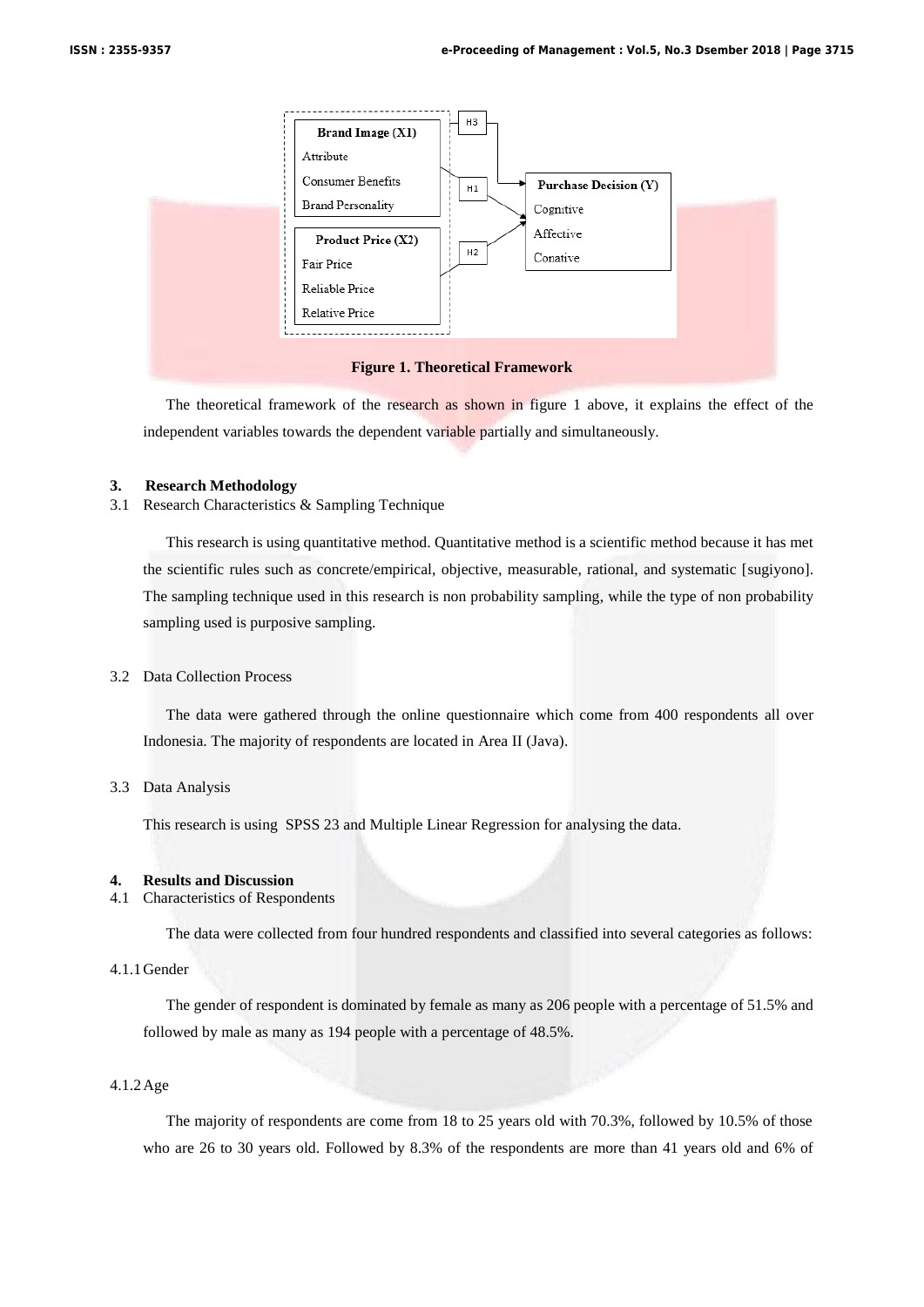

The theoretical framework of the research as shown in figure 1 above, it explains the effect of the independent variables towards the dependent variable partially and simultaneously.

### **3. Research Methodology**

3.1 Research Characteristics & Sampling Technique

This research is using quantitative method. Quantitative method is a scientific method because it has met the scientific rules such as concrete/empirical, objective, measurable, rational, and systematic [sugiyono]. The sampling technique used in this research is non probability sampling, while the type of non probability sampling used is purposive sampling.

# 3.2 Data Collection Process

The data were gathered through the online questionnaire which come from 400 respondents all over Indonesia. The majority of respondents are located in Area II (Java).

## 3.3 Data Analysis

This research is using SPSS 23 and Multiple Linear Regression for analysing the data.

## **4. Results and Discussion**

# 4.1 Characteristics of Respondents

The data were collected from four hundred respondents and classified into several categories as follows:

# 4.1.1Gender

The gender of respondent is dominated by female as many as 206 people with a percentage of 51.5% and followed by male as many as 194 people with a percentage of 48.5%.

# 4.1.2Age

The majority of respondents are come from 18 to 25 years old with 70.3%, followed by 10.5% of those who are 26 to 30 years old. Followed by 8.3% of the respondents are more than 41 years old and 6% of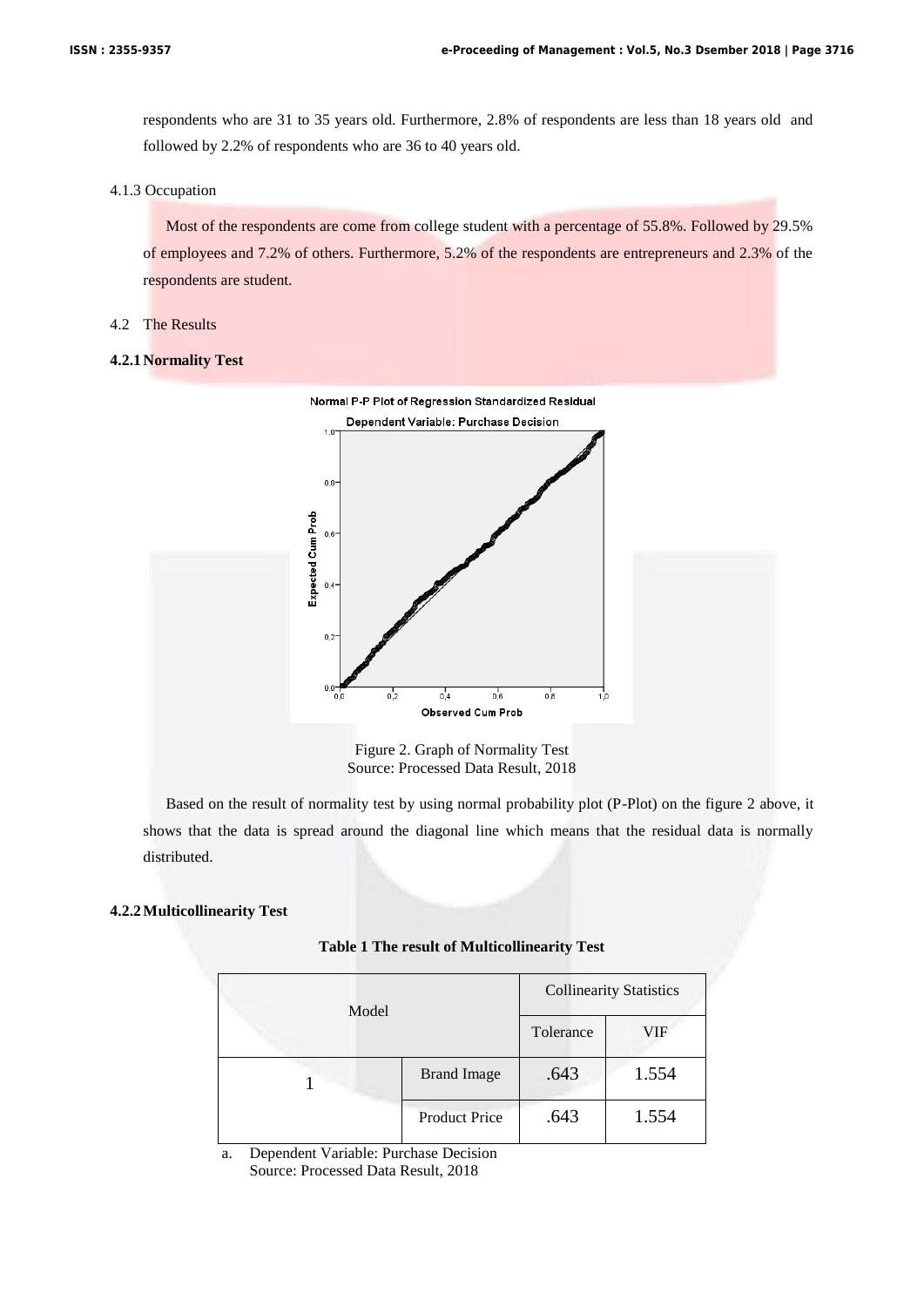respondents who are 31 to 35 years old. Furthermore, 2.8% of respondents are less than 18 years old and followed by 2.2% of respondents who are 36 to 40 years old.

#### 4.1.3 Occupation

Most of the respondents are come from college student with a percentage of 55.8%. Followed by 29.5% of employees and 7.2% of others. Furthermore, 5.2% of the respondents are entrepreneurs and 2.3% of the respondents are student.

## 4.2 The Results

## **4.2.1Normality Test**



Figure 2. Graph of Normality Test Source: Processed Data Result, 2018

Based on the result of normality test by using normal probability plot (P-Plot) on the figure 2 above, it shows that the data is spread around the diagonal line which means that the residual data is normally distributed.

## **4.2.2Multicollinearity Test**

| <b>Table 1 The result of Multicollinearity Test</b> |  |
|-----------------------------------------------------|--|
|-----------------------------------------------------|--|

| Model |                      |           | <b>Collinearity Statistics</b> |
|-------|----------------------|-----------|--------------------------------|
|       |                      | Tolerance | VIF                            |
|       | <b>Brand Image</b>   | .643      | 1.554                          |
|       | <b>Product Price</b> | .643      | 1.554                          |

a. Dependent Variable: Purchase Decision Source: Processed Data Result, 2018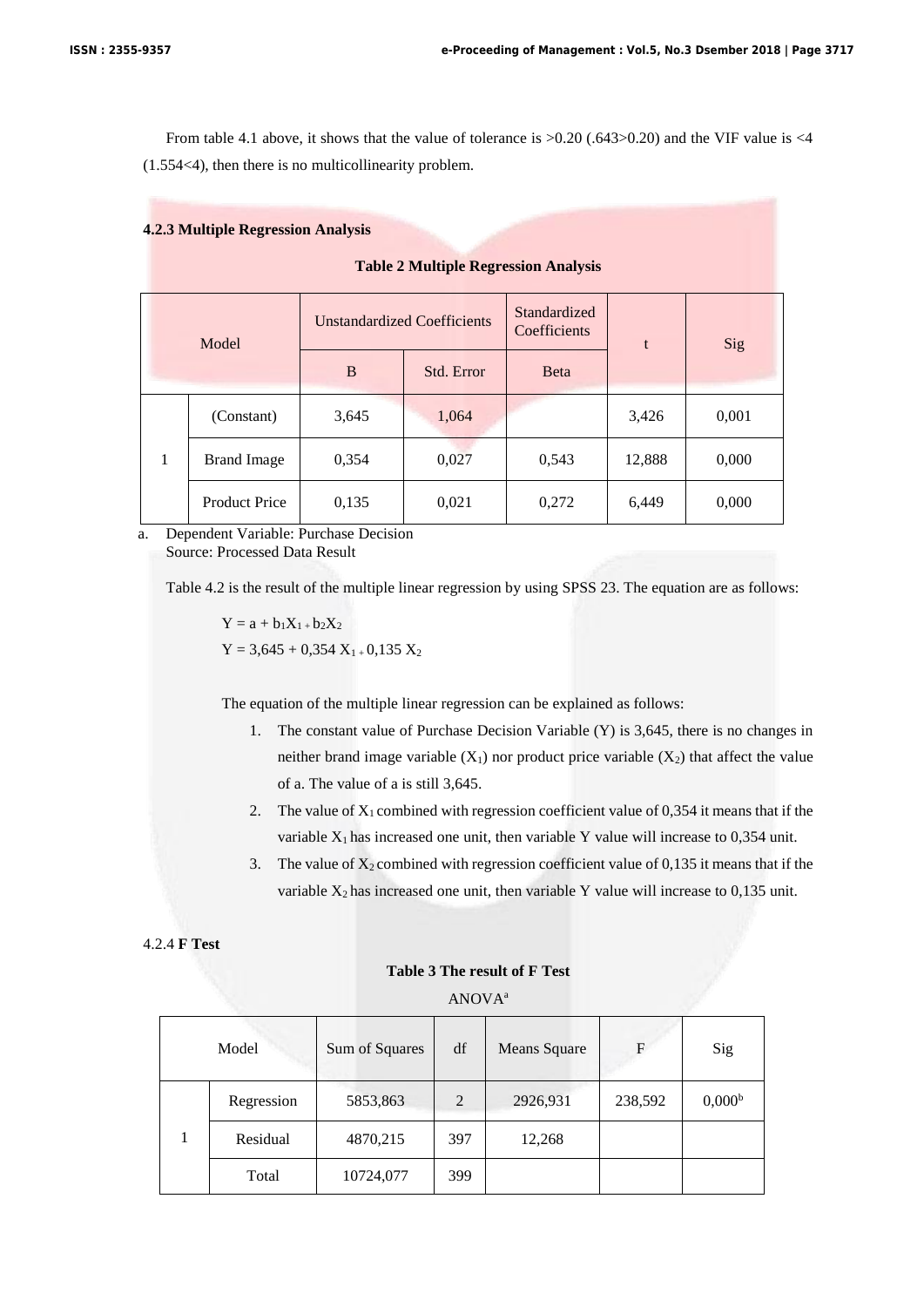From table 4.1 above, it shows that the value of tolerance is >0.20 (.643>0.20) and the VIF value is <4 (1.554<4), then there is no multicollinearity problem.

## **4.2.3 Multiple Regression Analysis**

**Table 2 Multiple Regression Analysis**

|   | Model                |       | <b>Unstandardized Coefficients</b> | Standardized<br>Coefficients | t      | Sig   |
|---|----------------------|-------|------------------------------------|------------------------------|--------|-------|
|   |                      | B     | Std. Error                         | <b>B</b> eta                 |        |       |
|   | (Constant)           | 3,645 | 1,064                              |                              | 3,426  | 0,001 |
| 1 | <b>Brand Image</b>   | 0,354 | 0,027                              | 0,543                        | 12,888 | 0,000 |
|   | <b>Product Price</b> | 0,135 | 0,021                              | 0,272                        | 6,449  | 0,000 |

a. Dependent Variable: Purchase Decision Source: Processed Data Result

Table 4.2 is the result of the multiple linear regression by using SPSS 23. The equation are as follows:

 $Y = a + b_1X_1 + b_2X_2$  $Y = 3,645 + 0,354$   $X_{1+}$  0,135  $X_{2}$ 

The equation of the multiple linear regression can be explained as follows:

- 1. The constant value of Purchase Decision Variable (Y) is 3,645, there is no changes in neither brand image variable  $(X_1)$  nor product price variable  $(X_2)$  that affect the value of a. The value of a is still 3,645.
- 2. The value of  $X_1$  combined with regression coefficient value of 0.354 it means that if the variable  $X_1$  has increased one unit, then variable Y value will increase to 0,354 unit.
- 3. The value of  $X_2$  combined with regression coefficient value of 0,135 it means that if the variable  $X_2$  has increased one unit, then variable Y value will increase to 0,135 unit.

## 4.2.4 **F Test**

# **Table 3 The result of F Test**

ANOVA<sup>a</sup>

| Model      | Sum of Squares | df             | <b>Means Square</b> | F       | Sig                |
|------------|----------------|----------------|---------------------|---------|--------------------|
| Regression | 5853,863       | $\overline{2}$ | 2926,931            | 238,592 | 0,000 <sup>b</sup> |
| Residual   | 4870,215       | 397            | 12,268              |         |                    |
| Total      | 10724,077      | 399            |                     |         |                    |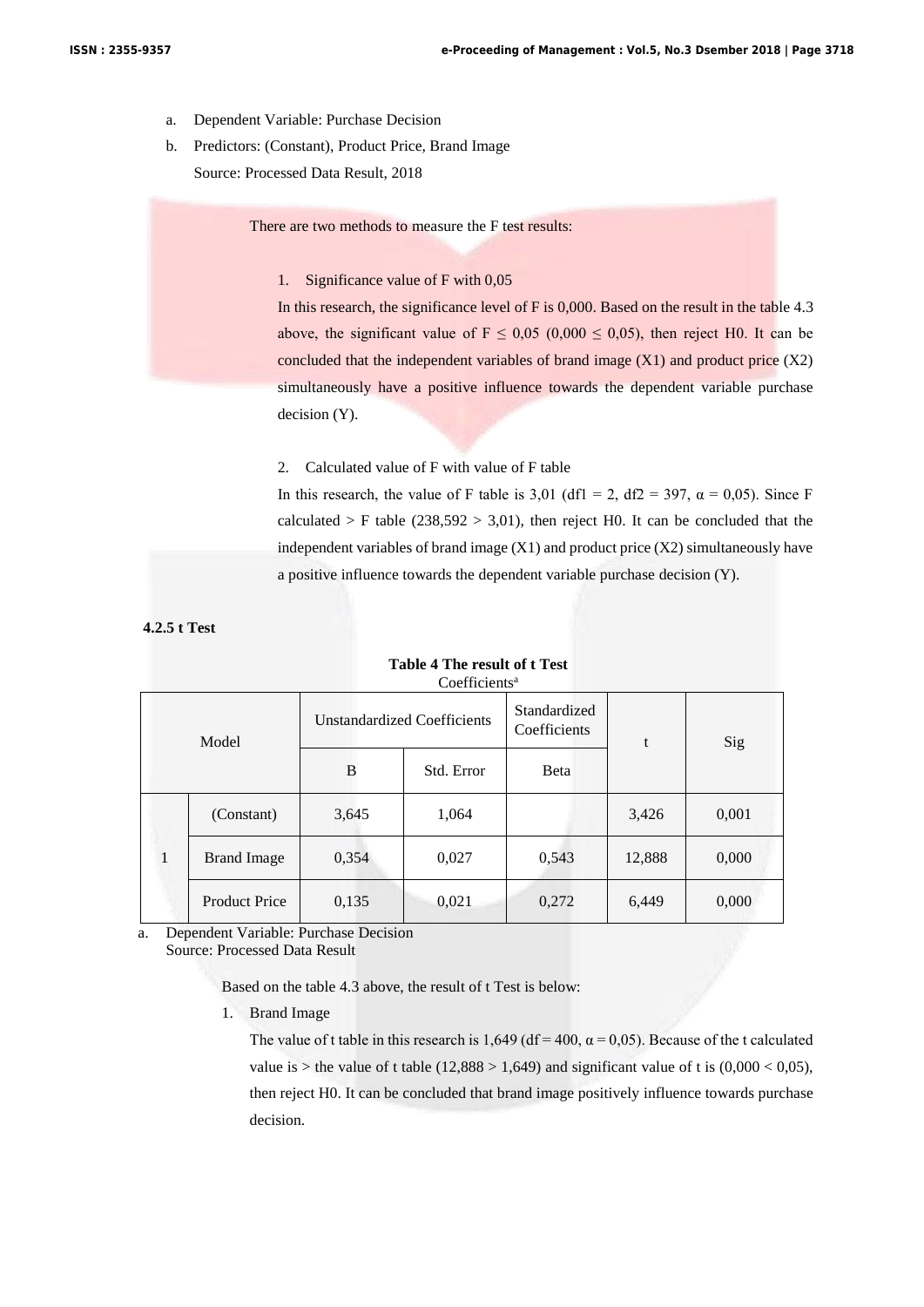- a. Dependent Variable: Purchase Decision
- b. Predictors: (Constant), Product Price, Brand Image Source: Processed Data Result, 2018

There are two methods to measure the F test results:

# 1. Significance value of F with 0,05

In this research, the significance level of F is 0,000. Based on the result in the table 4.3 above, the significant value of  $F \le 0.05$  (0.000  $\le 0.05$ ), then reject H0. It can be concluded that the independent variables of brand image  $(X1)$  and product price  $(X2)$ simultaneously have a positive influence towards the dependent variable purchase decision (Y).

2. Calculated value of F with value of F table

In this research, the value of F table is 3,01 (df1 = 2, df2 = 397,  $\alpha$  = 0,05). Since F calculated > F table ( $238,592$  >  $3,01$ ), then reject H0. It can be concluded that the independent variables of brand image  $(X1)$  and product price  $(X2)$  simultaneously have a positive influence towards the dependent variable purchase decision (Y).

**4.2.5 t Test**

| Coefficients" |                      |                                    |            |                              |        |       |
|---------------|----------------------|------------------------------------|------------|------------------------------|--------|-------|
| Model         |                      | <b>Unstandardized Coefficients</b> |            | Standardized<br>Coefficients | t      | Sig   |
|               |                      | B                                  | Std. Error | <b>B</b> eta                 |        |       |
|               | (Constant)           | 3,645                              | 1,064      |                              | 3,426  | 0,001 |
|               | <b>Brand Image</b>   | 0,354                              | 0,027      | 0,543                        | 12,888 | 0,000 |
|               | <b>Product Price</b> | 0,135                              | 0,021      | 0,272                        | 6,449  | 0,000 |

# **Table 4 The result of t Test** Coefficients<sup>a</sup>

a. Dependent Variable: Purchase Decision Source: Processed Data Result

Based on the table 4.3 above, the result of t Test is below:

1. Brand Image

The value of t table in this research is 1,649 (df = 400,  $\alpha$  = 0,05). Because of the t calculated value is > the value of t table  $(12,888 > 1,649)$  and significant value of t is  $(0,000 < 0,05)$ , then reject H0. It can be concluded that brand image positively influence towards purchase decision.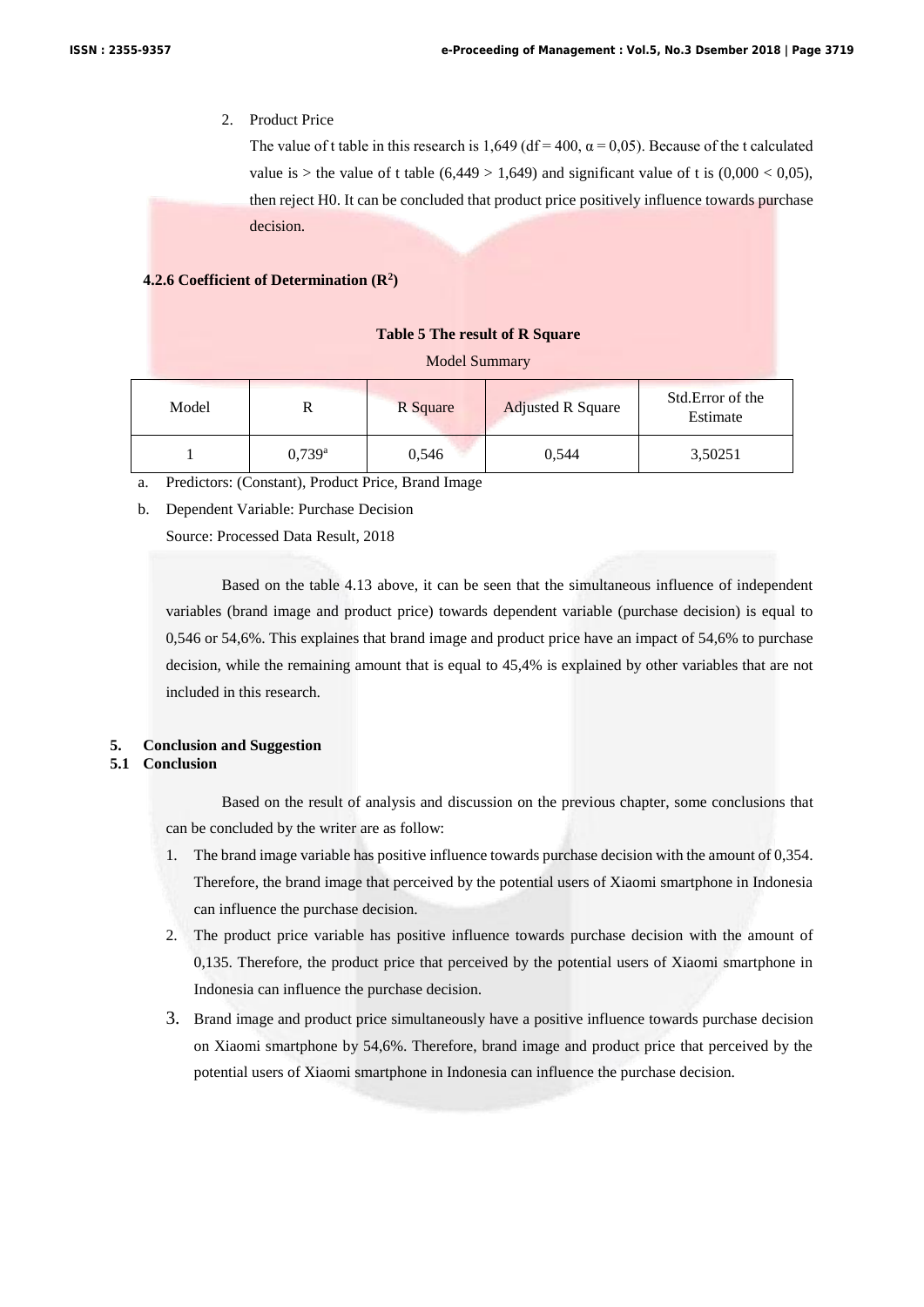# 2. Product Price

The value of t table in this research is 1,649 (df = 400,  $\alpha$  = 0,05). Because of the t calculated value is > the value of t table  $(6,449 > 1,649)$  and significant value of t is  $(0,000 < 0,05)$ , then reject H0. It can be concluded that product price positively influence towards purchase decision.

# **4.2.6 Coefficient of Determination (R<sup>2</sup> )**

#### **Table 5 The result of R Square**

#### Model Summary

| Model |                      | R Square | <b>Adjusted R Square</b> | Std. Error of the<br>Estimate |
|-------|----------------------|----------|--------------------------|-------------------------------|
|       | $0.739$ <sup>a</sup> | 0,546    | 0.544                    | 3,50251                       |

a. Predictors: (Constant), Product Price, Brand Image

b. Dependent Variable: Purchase Decision

Source: Processed Data Result, 2018

Based on the table 4.13 above, it can be seen that the simultaneous influence of independent variables (brand image and product price) towards dependent variable (purchase decision) is equal to 0,546 or 54,6%. This explaines that brand image and product price have an impact of 54,6% to purchase decision, while the remaining amount that is equal to 45,4% is explained by other variables that are not included in this research.

# **5. Conclusion and Suggestion**

# **5.1 Conclusion**

Based on the result of analysis and discussion on the previous chapter, some conclusions that can be concluded by the writer are as follow:

- 1. The brand image variable has positive influence towards purchase decision with the amount of 0,354. Therefore, the brand image that perceived by the potential users of Xiaomi smartphone in Indonesia can influence the purchase decision.
- 2. The product price variable has positive influence towards purchase decision with the amount of 0,135. Therefore, the product price that perceived by the potential users of Xiaomi smartphone in Indonesia can influence the purchase decision.
- 3. Brand image and product price simultaneously have a positive influence towards purchase decision on Xiaomi smartphone by 54,6%. Therefore, brand image and product price that perceived by the potential users of Xiaomi smartphone in Indonesia can influence the purchase decision.